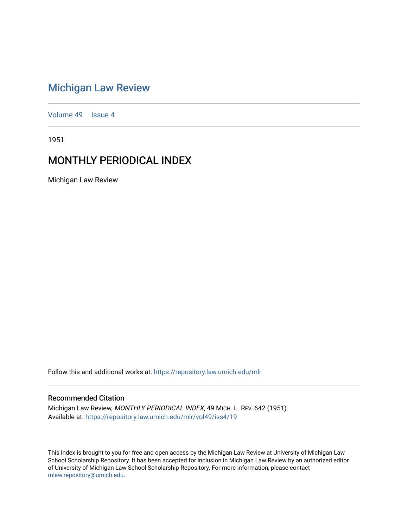# [Michigan Law Review](https://repository.law.umich.edu/mlr)

[Volume 49](https://repository.law.umich.edu/mlr/vol49) | [Issue 4](https://repository.law.umich.edu/mlr/vol49/iss4)

1951

# MONTHLY PERIODICAL INDEX

Michigan Law Review

Follow this and additional works at: [https://repository.law.umich.edu/mlr](https://repository.law.umich.edu/mlr?utm_source=repository.law.umich.edu%2Fmlr%2Fvol49%2Fiss4%2F19&utm_medium=PDF&utm_campaign=PDFCoverPages) 

# Recommended Citation

Michigan Law Review, MONTHLY PERIODICAL INDEX, 49 MICH. L. REV. 642 (1951). Available at: [https://repository.law.umich.edu/mlr/vol49/iss4/19](https://repository.law.umich.edu/mlr/vol49/iss4/19?utm_source=repository.law.umich.edu%2Fmlr%2Fvol49%2Fiss4%2F19&utm_medium=PDF&utm_campaign=PDFCoverPages) 

This Index is brought to you for free and open access by the Michigan Law Review at University of Michigan Law School Scholarship Repository. It has been accepted for inclusion in Michigan Law Review by an authorized editor of University of Michigan Law School Scholarship Repository. For more information, please contact [mlaw.repository@umich.edu.](mailto:mlaw.repository@umich.edu)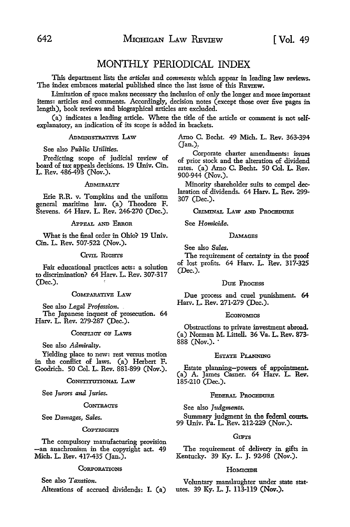# MONTHLY PERIODICAL INDEX

This department lists the *articles* and *comments* which appear in leading law reviews. The index embraces material published since the last issue of this REVIEW.

Limitation of space makes necessary the inclusion of only the longer and more important items: articles and comments. Accordingly, decision notes (except those over five pages in length), book reviews and biographical articles are excluded.

(a) indicates a leading article. Where the title of the article or comment is not selfexplanatory, an indication of its scope is added in brackets.

# ADMINISTRATIVE LAW

# See also *Public Utilities.*

Predicting scope of judicial review of board of tax appeals decisions. 19 Univ. Cin. L. Rev. 486-493 (Nov.).

# ADMIRALTY

Erie R.R. v. Tompkins and the unifonn general maritime law. (a) Theodore F. Stevens. 64 Harv. L. Rev. 246-270 (Dec.).

# APPEAL AND ERROR

What is the final order in Ohio? 19 Univ. Cin. L. Rev. 507-522 (Nov.).

# Crvn. RIGHTS

Fair educational practices acts: a solution to discrimination? 64 Harv. L. Rev. 307-317 (Dec.).

# COMPARATIVE LAW

See also *Legal Profession.*  The Japanese inquest of prosecution. 64 Harv. L. Rev. 279-287 (Dec.).

# CoNFLICT OF LAws

See also *Admiralty.* 

Yielding place to new: rest versus motion in the conffict of laws. (a) Herbert F. Goodrich. 50 Col. L. Rev. 881-899 (Nov.).

# CONSTITUTIONAL LAW

See *Jurors and Juries.* 

#### **CONTRACTS**

See *Damages, Sales.* 

#### **COPYRIGHTS**

The compulsory manufacturing provision -an anachronism in the copyright act. 49 Mich. L. Rev. 417-435 (Jan.).

# **CORPORATIONS**

See also *Taxation.*  Alterations of accrued dividends: I. (a) Amo C. Becht. 49 Mich. L. Rev. 363-394 (Jan.)\_.

Corporate charter amendments: issues of prior stock and the alteration of dividend rates. (a) Amo C. Becht. 50 Col. L. Rev. 900-944 (Nov.).

Minority shareholder suits to compel declaration of dividends. 64 Harv. L. Rev. 299- 307 (Dec.).

CRIMINAL LAW AND PROCEDURE

See *Homicide.* 

#### **DAMAGES**

See also *Sales.* 

The requirement of certainty in the proof of lost profits. 64 Harv. L. Rev. 317-325 (Dec.).

#### DUE PROCESS

Due process and cruel punishment. 64 Harv. L. Rev. 271-279 (Dec.).

#### **ECONOMICS**

Obstructions to private investment abroad. (a) Norman M. Littell. 36 Va. L. Rev. 873-888 (Nov.).·

# EsTATB PLANNING

Estate planning-powers of appointment. (a) A. James Casner. 64 Harv. L. Rev. 185-210 (Dec.).

# FEDERAL PROCEDURE

See also *Judgments.* 

Summary judgment in the federal courts. 99 Univ. Pa. L. Rev. 212-229 (Nov.).

## GIFTS

The requirement of delivery in gifts in Kentucky. 39 Ky. L. J. 92-98 (Nov.).

## Homcope

Voluntary manslaughter under state statutes, 39 Ky. L. J. 113-119 (Nov.).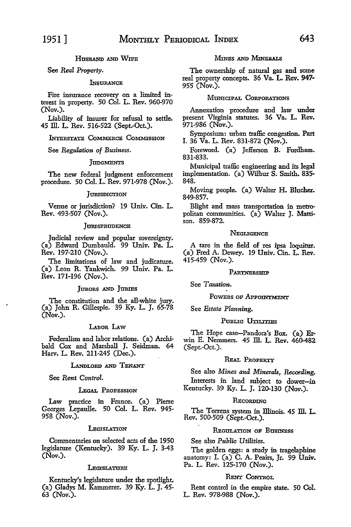HUSBAND AND WIFE

See *Real Property.* 

#### **INSURANCE**

Fire insurance recovery on a limited interest in property. 50 Col. L. Rev. 960-970 (Nov.).

Liability of insurer for refusal to settle. 45 ill. L. Rev. 516-522 (Sept.-Oct.).

1NT£RSTATB CoMMBRCB CoMMISSION

See *Regulation of Business.* 

### **JUDGMENTS**

The new federal judgment enforcement procedure. 50 Col. L. Rev. 971-978 (Nov.).

## **JURISDICTION**

Venue or jurisdiction? 19 Univ. Cin. L. Rev. 493-507 (Nov.).

# **JURISPRUDENCE**

Judicial review and popular sovereignty. (a) Edward Dumbauld. 99 Univ. Pa. L. Rev. 197-210 (Nov.).

The limitations of law and judicature. (a) Leon R. Yankwich. 99 Univ. Pa. L. Rev. 171-196 (Nov.).

# JURORS AND JURIES

The constitution and the all-white jury. (a) John R. Gillespie. 39 Ky. L. J. 65-78 (Nov.).

# LABoR LAw

Federalism and labor relations. (a) Archibald Cox and Marshall J. Seidman. 64 Harv. L. Rev. 211-245 (Dec.).

## LANDLORD AND TENANT

See *Rent Control.* 

# LEGAL PROFESSION

Law practice in France. (a) Pierre Georges Lepaulle. 50 Col. L. Rev. 945- 958 (Nov.).

#### **LEGISLATION**

Commentaries on selected acts of the 1950 legislature (Kentucky). 39 Ky. L. J. 3-43 (Nov.).

#### **LEGISLATURE**

Kentucky's legislature under the spotlight. (a) Gladys M. Kammerer. 39 Ky. L. J. 45- 63 (Nov.).

# MINES AND **MINBur.s**

The ownership of natural gas and some real property concepts. 36 Va. L. **Rev. 947-** 955 (Nov.).

# MUNICIPAL CORPORATIONS

Annexation procedure and law under present Virginia statutes. 36 Va. L. Rev. 971-986 (Nov.).

Symposium: urban traffic congestion. Part I. 36 Va. L. Rev. 831-872 (Nov.).

Foreword. (a) Jefferson B. Fordham. 831-833.

Municipal traffic engineering and its legal implementation. (a) Wilbur S. Smith. 835- 848.

Moving people. (a) Walter H. Blucher. 849-857.

Blight and mass transportation in metropolitan communities. (a) Walter J. Mattison. 859-872.

## **NEGLIGENCE**

A tare in the £eld of res ipsa loquitur. (a) Fred A. Dewey. 19 Univ. Cin. L. Rev. 415-459 (Nov.).

#### PARTNERSHIP

See *Taxation.* 

POWERS OF APPOINTMENT

See *Estate Planning.* 

#### PUBLIC UTILITIES

The Hope case-Pandora's Box. (a) Erwin E. Nemmers. 45 Ill. L. Rev. 460-482 (Sept.-Oct.).

# REAL PROPERTY

See also *Mines and Minerals, Recording.*  Interests in land subject to dower-in Kentucky. 39 Ky. L. J. 120-130 (Nov.).

## RECORDING

The Torrens system in Illinois. 45 Ill. L. Rev. 500-509 (Sept.-Oct.).

# REGULATION OF BUSINESS

See also *Public Utilities.* 

The golden eggs: a study in tragelaphine anatomy: I. (a) C. A. Peairs, Jr. 99 Univ. Pa. L. Rev. 125-170 (Nov.).

# RENT CoNTROL

Rent control in the empire state. 50 Col. L. Rev. 978-988 (Nov.).